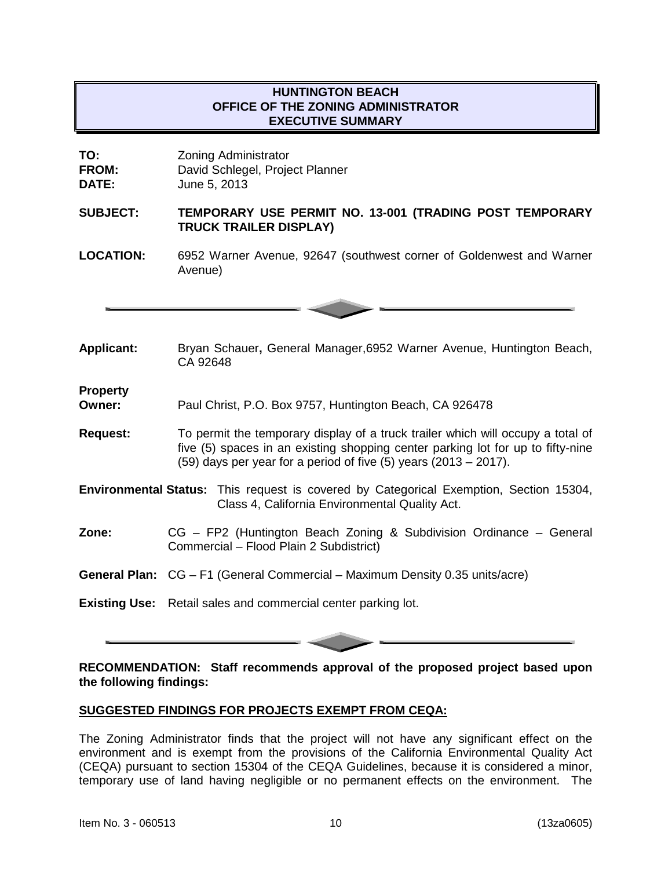# **HUNTINGTON BEACH OFFICE OF THE ZONING ADMINISTRATOR EXECUTIVE SUMMARY**

| TO:          | <b>Zoning Administrator</b>     |
|--------------|---------------------------------|
| <b>FROM:</b> | David Schlegel, Project Planner |
| <b>DATE:</b> | June 5, 2013                    |

### **SUBJECT: TEMPORARY USE PERMIT NO. 13-001 (TRADING POST TEMPORARY TRUCK TRAILER DISPLAY)**

**LOCATION:** 6952 Warner Avenue, 92647 (southwest corner of Goldenwest and Warner Avenue)



**Applicant:** Bryan Schauer**,** General Manager,6952 Warner Avenue, Huntington Beach, CA 92648

**Property**

Paul Christ, P.O. Box 9757, Huntington Beach, CA 926478

- **Request:** To permit the temporary display of a truck trailer which will occupy a total of five (5) spaces in an existing shopping center parking lot for up to fifty-nine (59) days per year for a period of five (5) years (2013 – 2017).
- **Environmental Status:** This request is covered by Categorical Exemption, Section 15304, Class 4, California Environmental Quality Act.
- **Zone:** CG FP2 (Huntington Beach Zoning & Subdivision Ordinance General Commercial – Flood Plain 2 Subdistrict)
- **General Plan:** CG F1 (General Commercial Maximum Density 0.35 units/acre)

**Existing Use:** Retail sales and commercial center parking lot.

**RECOMMENDATION: Staff recommends approval of the proposed project based upon the following findings:**

## **SUGGESTED FINDINGS FOR PROJECTS EXEMPT FROM CEQA:**

The Zoning Administrator finds that the project will not have any significant effect on the environment and is exempt from the provisions of the California Environmental Quality Act (CEQA) pursuant to section 15304 of the CEQA Guidelines, because it is considered a minor, temporary use of land having negligible or no permanent effects on the environment. The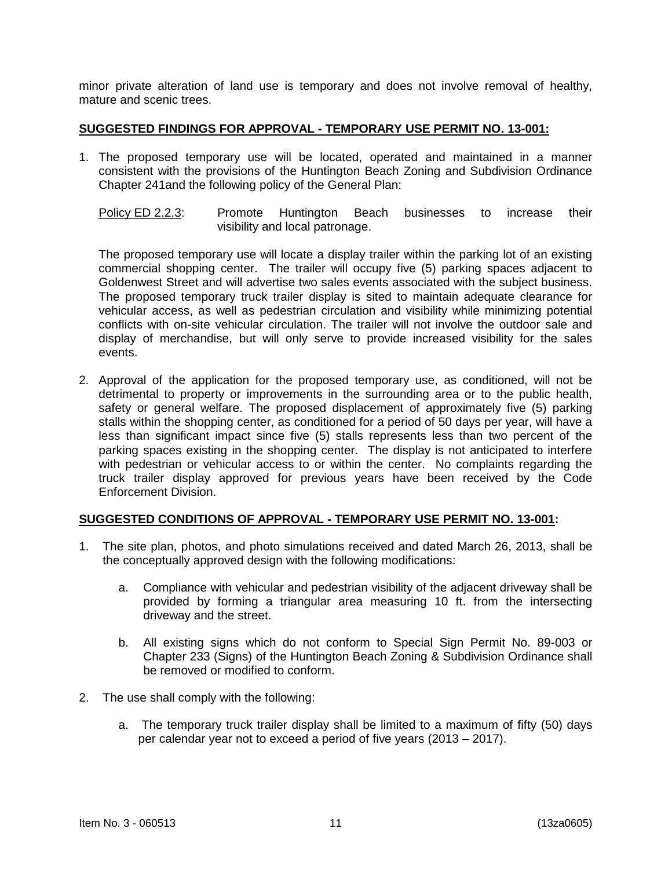minor private alteration of land use is temporary and does not involve removal of healthy, mature and scenic trees.

### **SUGGESTED FINDINGS FOR APPROVAL - TEMPORARY USE PERMIT NO. 13-001:**

- 1. The proposed temporary use will be located, operated and maintained in a manner consistent with the provisions of the Huntington Beach Zoning and Subdivision Ordinance Chapter 241and the following policy of the General Plan:
	- Policy ED 2.2.3: Promote Huntington Beach businesses to increase their visibility and local patronage.

The proposed temporary use will locate a display trailer within the parking lot of an existing commercial shopping center. The trailer will occupy five (5) parking spaces adjacent to Goldenwest Street and will advertise two sales events associated with the subject business. The proposed temporary truck trailer display is sited to maintain adequate clearance for vehicular access, as well as pedestrian circulation and visibility while minimizing potential conflicts with on-site vehicular circulation. The trailer will not involve the outdoor sale and display of merchandise, but will only serve to provide increased visibility for the sales events.

2. Approval of the application for the proposed temporary use, as conditioned, will not be detrimental to property or improvements in the surrounding area or to the public health, safety or general welfare. The proposed displacement of approximately five (5) parking stalls within the shopping center, as conditioned for a period of 50 days per year, will have a less than significant impact since five (5) stalls represents less than two percent of the parking spaces existing in the shopping center. The display is not anticipated to interfere with pedestrian or vehicular access to or within the center. No complaints regarding the truck trailer display approved for previous years have been received by the Code Enforcement Division.

## **SUGGESTED CONDITIONS OF APPROVAL - TEMPORARY USE PERMIT NO. 13-001:**

- 1. The site plan, photos, and photo simulations received and dated March 26, 2013, shall be the conceptually approved design with the following modifications:
	- a. Compliance with vehicular and pedestrian visibility of the adjacent driveway shall be provided by forming a triangular area measuring 10 ft. from the intersecting driveway and the street.
	- b. All existing signs which do not conform to Special Sign Permit No. 89-003 or Chapter 233 (Signs) of the Huntington Beach Zoning & Subdivision Ordinance shall be removed or modified to conform.
- 2. The use shall comply with the following:
	- a. The temporary truck trailer display shall be limited to a maximum of fifty (50) days per calendar year not to exceed a period of five years (2013 – 2017).